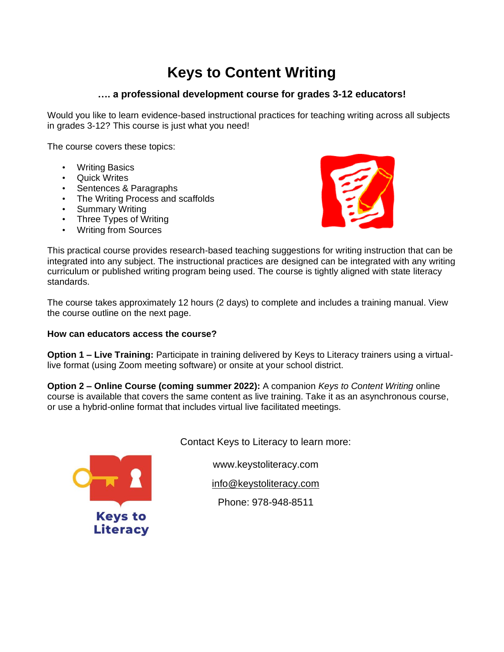# **Keys to Content Writing**

## **…. a professional development course for grades 3-12 educators!**

Would you like to learn evidence-based instructional practices for teaching writing across all subjects in grades 3-12? This course is just what you need!

The course covers these topics:

- Writing Basics
- Quick Writes
- Sentences & Paragraphs
- The Writing Process and scaffolds
- Summary Writing
- Three Types of Writing
- Writing from Sources



This practical course provides research-based teaching suggestions for writing instruction that can be integrated into any subject. The instructional practices are designed can be integrated with any writing curriculum or published writing program being used. The course is tightly aligned with state literacy standards.

The course takes approximately 12 hours (2 days) to complete and includes a training manual. View the course outline on the next page.

## **How can educators access the course?**

**Option 1 – Live Training:** Participate in training delivered by Keys to Literacy trainers using a virtuallive format (using Zoom meeting software) or onsite at your school district.

**Option 2 – Online Course (coming summer 2022):** A companion *Keys to Content Writing* online course is available that covers the same content as live training. Take it as an asynchronous course, or use a hybrid-online format that includes virtual live facilitated meetings.



Contact Keys to Literacy to learn more:

www.keystoliteracy.com

[info@keystoliteracy.com](mailto:info@keystoliteracy.com)

Phone: 978-948-8511